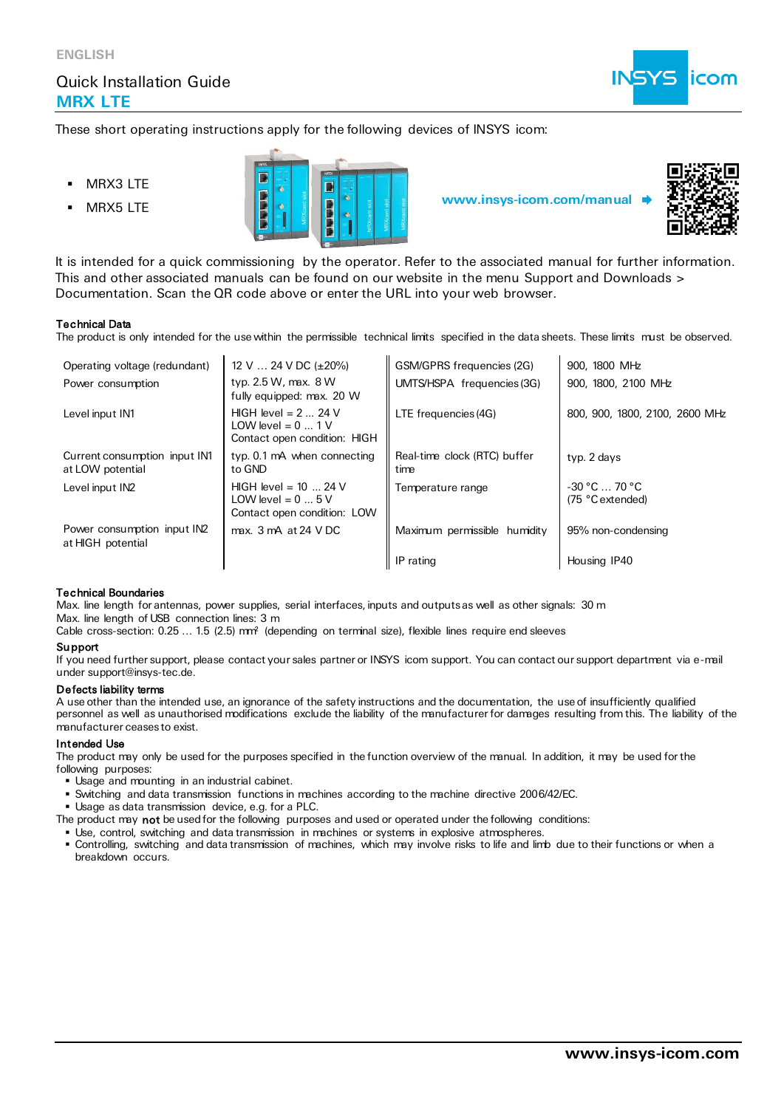## Quick Installation Guide **MRX LTE**



These short operating instructions apply for the following devices of INSYS icom:

- **MRX3 LTE**
- 





It is intended for a quick commissioning by the operator. Refer to the associated manual for further information. This and other associated manuals can be found on our website in the menu Support and Downloads > Documentation. Scan the QR code above or enter the URL into your web browser.

#### Technical Data

The product is only intended for the use within the permissible technical limits specified in the data sheets. These limits must be observed.

| Operating voltage (redundant)                     | 12 V $\ldots$ 24 V DC ( $\pm$ 20%)                                                 | GSM/GPRS frequencies (2G)            | 900, 1800 MHz                      |
|---------------------------------------------------|------------------------------------------------------------------------------------|--------------------------------------|------------------------------------|
| Power consumption                                 | typ. $2.5 W$ , max. $8 W$<br>fully equipped: max. 20 W                             | UMTS/HSPA frequencies (3G)           | 900, 1800, 2100 MHz                |
| Level input IN1                                   | HIGH level = $2 \dots 24$ V<br>LOW level = $0$ 1 V<br>Contact open condition: HIGH | LTE frequencies (4G)                 | 800, 900, 1800, 2100, 2600 MHz     |
| Current consumption input IN1<br>at LOW potential | typ. 0.1 mA when connecting<br>to GND                                              | Real-time clock (RTC) buffer<br>time | typ. 2 days                        |
| Level input IN2                                   | HIGH level = $10$ 24 V<br>LOW level = $0 \dots 5$ V<br>Contact open condition: LOW | Temperature range                    | $-30 °C$ 70 °C<br>(75 °C extended) |
| Power consumption input IN2<br>at HIGH potential  | max. 3 mA at 24 VDC                                                                | Maximum permissible humidity         | 95% non-condensing                 |
|                                                   |                                                                                    | IP rating                            | Housing IP40                       |

#### Technical Boundaries

Max. line length for antennas, power supplies, serial interfaces, inputs and outputs as well as other signals: 30 m Max. line length of USB connection lines: 3 m

Cable cross-section: 0.25 ... 1.5 (2.5) mm<sup>2</sup> (depending on terminal size), flexible lines require end sleeves

### **Support**

If you need further support, please contact your sales partner or INSYS icom support. You can contact our support department via e-mail under support@insys-tec.de.

#### Defects liability terms

A use other than the intended use, an ignorance of the safety instructions and the documentation, the use of insufficiently qualified personnel as well as unauthorised modifications exclude the liability of the manufacturer for damages resulting from this. The liability of the manufacturer ceases to exist.

### Intended Use

The product may only be used for the purposes specified in the function overview of the manual. In addition, it may be used for the following purposes:

- Usage and mounting in an industrial cabinet.
- Switching and data transmission functions in machines according to the machine directive 2006/42/EC.

▪ Usage as data transmission device, e.g. for a PLC.

The product may not be used for the following purposes and used or operated under the following conditions:

- Use, control, switching and data transmission in machines or systems in explosive atmospheres.
- Controlling, switching and data transmission of machines, which may involve risks to life and limb due to their functions or when a breakdown occurs.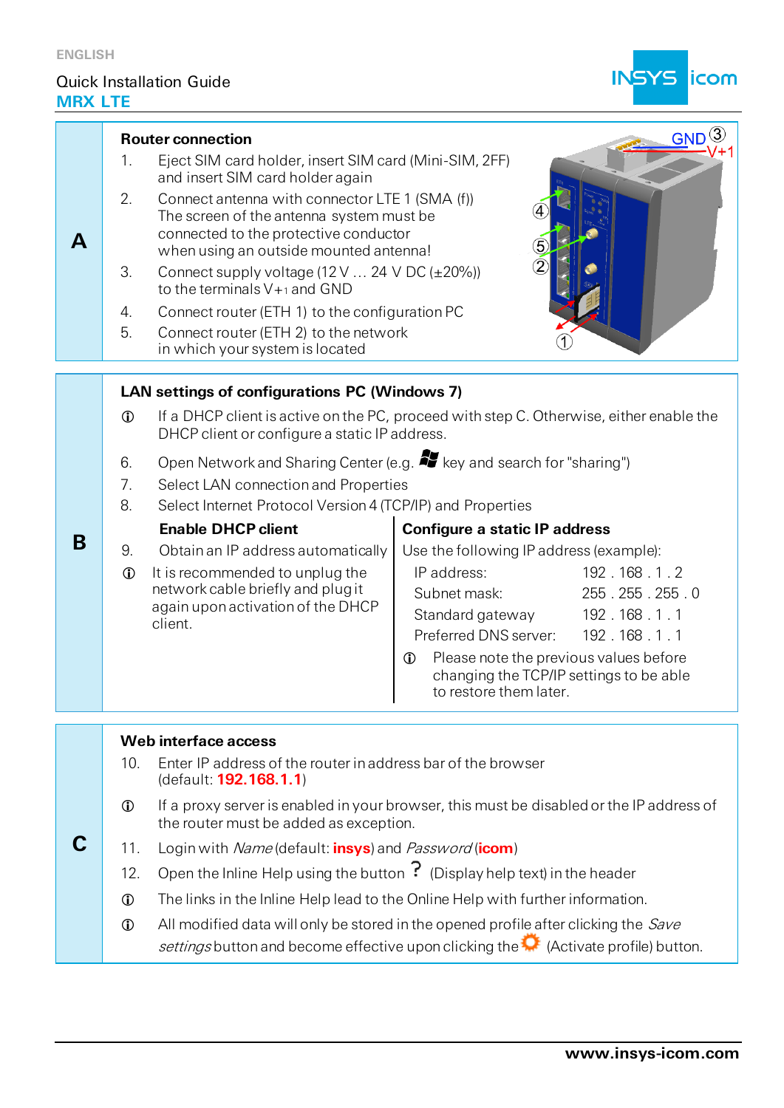## Quick Installation Guide **MRX LTE**



| A | <b>Router connection</b><br>1.<br>and insert SIM card holder again<br>2.<br>3.<br>to the terminals $V+1$ and GND<br>4.<br>5.<br>Connect router (ETH 2) to the network<br>in which your system is located                                                                                                                                                                                                                                                                                                                                                                                                                                                                                                                        | Eject SIM card holder, insert SIM card (Mini-SIM, 2FF)<br>Connect antenna with connector LTE 1 (SMA (f))<br>The screen of the antenna system must be<br>connected to the protective conductor<br>when using an outside mounted antenna!<br>Connect supply voltage $(12 \text{ V} \dots 24 \text{ V} \text{ DC } (\pm 20\%)$<br>Connect router (ETH 1) to the configuration PC                                                                                                       | $GND^{(3)}$                                                                                                                                                                                                      |
|---|---------------------------------------------------------------------------------------------------------------------------------------------------------------------------------------------------------------------------------------------------------------------------------------------------------------------------------------------------------------------------------------------------------------------------------------------------------------------------------------------------------------------------------------------------------------------------------------------------------------------------------------------------------------------------------------------------------------------------------|-------------------------------------------------------------------------------------------------------------------------------------------------------------------------------------------------------------------------------------------------------------------------------------------------------------------------------------------------------------------------------------------------------------------------------------------------------------------------------------|------------------------------------------------------------------------------------------------------------------------------------------------------------------------------------------------------------------|
| B | $\mathbf{r}$<br>6.<br>Select LAN connection and Properties<br>7.<br>8.<br><b>Enable DHCP client</b><br>9.<br>Obtain an IP address automatically<br>It is recommended to unplug the<br>$\mathbf 0$<br>network cable briefly and plug it<br>again upon activation of the DHCP<br>client.                                                                                                                                                                                                                                                                                                                                                                                                                                          | <b>LAN settings of configurations PC (Windows 7)</b><br>If a DHCP client is active on the PC, proceed with step C. Otherwise, either enable the<br>DHCP client or configure a static IP address.<br>Open Network and Sharing Center (e.g. <b>47</b> key and search for "sharing")<br>Select Internet Protocol Version 4 (TCP/IP) and Properties<br><b>Configure a static IP address</b><br>IP address:<br>Subnet mask:<br>Standard gateway<br>$\mathbf 0$<br>to restore them later. | Use the following IP address (example):<br>192.168.1.2<br>255.255.255.0<br>192.168.1.1<br>Preferred DNS server: 192.168.1.1<br>Please note the previous values before<br>changing the TCP/IP settings to be able |
|   | Web interface access<br>Enter IP address of the router in address bar of the browser<br>10.<br>(default: 192.168.1.1)<br>If a proxy server is enabled in your browser, this must be disabled or the IP address of<br>$\mathbf 0$<br>the router must be added as exception.<br>Login with Name (default: insys) and Password (icom)<br>11.<br>Open the Inline Help using the button $\cdot$ (Display help text) in the header<br>12.<br>The links in the Inline Help lead to the Online Help with further information.<br>$\mathbf 0$<br>All modified data will only be stored in the opened profile after clicking the Save<br>$\mathbf 0$<br>settings button and become effective upon clicking the (Activate profile) button. |                                                                                                                                                                                                                                                                                                                                                                                                                                                                                     |                                                                                                                                                                                                                  |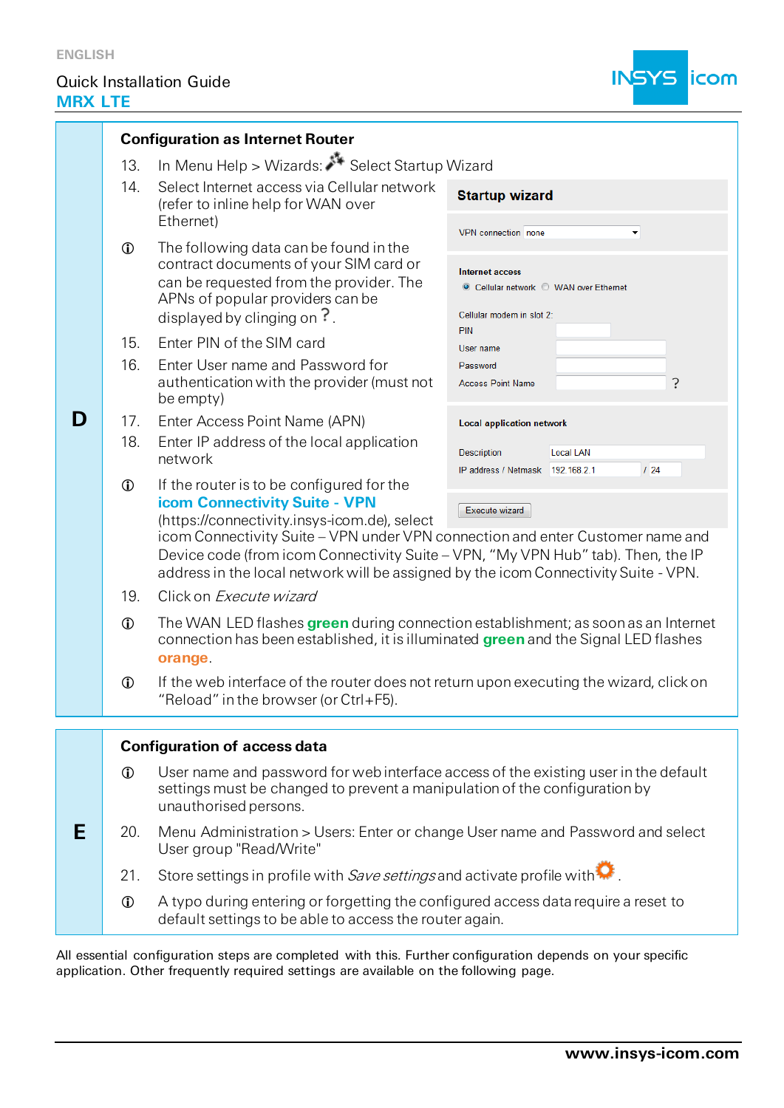**D**

**E**

# Quick Installation Guide **MRX LTE**



| <b>Configuration as Internet Router</b> |                                                      |                                                                                                                                                                                                                                                                                                                                                                                                           |                                                                                                                                                            |  |  |  |  |
|-----------------------------------------|------------------------------------------------------|-----------------------------------------------------------------------------------------------------------------------------------------------------------------------------------------------------------------------------------------------------------------------------------------------------------------------------------------------------------------------------------------------------------|------------------------------------------------------------------------------------------------------------------------------------------------------------|--|--|--|--|
|                                         | In Menu Help > Wizards: Select Startup Wizard<br>13. |                                                                                                                                                                                                                                                                                                                                                                                                           |                                                                                                                                                            |  |  |  |  |
|                                         | 14.                                                  | Select Internet access via Cellular network<br>(refer to inline help for WAN over<br>Ethernet)                                                                                                                                                                                                                                                                                                            | <b>Startup wizard</b>                                                                                                                                      |  |  |  |  |
|                                         | $\mathbf 0$                                          | The following data can be found in the<br>contract documents of your SIM card or<br>can be requested from the provider. The<br>APNs of popular providers can be<br>displayed by clinging on $\overline{\cdot}$ .                                                                                                                                                                                          | VPN connection none<br>$\blacktriangledown$<br><b>Internet access</b><br>© Cellular network © WAN over Ethernet<br>Cellular modem in slot 2:<br><b>PIN</b> |  |  |  |  |
|                                         | 15.<br>16.                                           | Enter PIN of the SIM card<br>Enter User name and Password for<br>authentication with the provider (must not<br>be empty)                                                                                                                                                                                                                                                                                  | User name<br>Password<br>?<br><b>Access Point Name</b>                                                                                                     |  |  |  |  |
|                                         | 17.<br>18.                                           | Enter Access Point Name (APN)<br>Enter IP address of the local application<br>network                                                                                                                                                                                                                                                                                                                     | <b>Local application network</b><br><b>Description</b><br>Local LAN<br>124<br>IP address / Netmask 192.168.2.1                                             |  |  |  |  |
|                                         | $\mathbf 0$                                          | If the router is to be configured for the<br>icom Connectivity Suite - VPN<br>Execute wizard<br>(https://connectivity.insys-icom.de), select<br>icom Connectivity Suite - VPN under VPN connection and enter Customer name and<br>Device code (from icom Connectivity Suite - VPN, "My VPN Hub" tab). Then, the IP<br>address in the local network will be assigned by the icom Connectivity Suite - VPN. |                                                                                                                                                            |  |  |  |  |
|                                         | 19.                                                  | Click on Execute wizard                                                                                                                                                                                                                                                                                                                                                                                   |                                                                                                                                                            |  |  |  |  |
|                                         | $\bigcirc$                                           | The WAN LED flashes green during connection establishment; as soon as an Internet<br>connection has been established, it is illuminated green and the Signal LED flashes<br>orange.                                                                                                                                                                                                                       |                                                                                                                                                            |  |  |  |  |
|                                         | $\bigcirc$                                           | If the web interface of the router does not return upon executing the wizard, click on<br>"Reload" in the browser (or Ctrl+F5).                                                                                                                                                                                                                                                                           |                                                                                                                                                            |  |  |  |  |
|                                         |                                                      |                                                                                                                                                                                                                                                                                                                                                                                                           |                                                                                                                                                            |  |  |  |  |
|                                         | $\mathbf 0$                                          | <b>Configuration of access data</b><br>User name and password for web interface access of the existing user in the default<br>settings must be changed to prevent a manipulation of the configuration by<br>unauthorised persons.                                                                                                                                                                         |                                                                                                                                                            |  |  |  |  |
|                                         | 20.                                                  | Menu Administration > Users: Enter or change User name and Password and select<br>User group "Read/Write"                                                                                                                                                                                                                                                                                                 |                                                                                                                                                            |  |  |  |  |
|                                         | 21.                                                  | Store settings in profile with Save settings and activate profile with $\color{red}\blacktriangleright$                                                                                                                                                                                                                                                                                                   |                                                                                                                                                            |  |  |  |  |
|                                         | $\mathbf 0$                                          | A typo during entering or forgetting the configured access data require a reset to<br>default settings to be able to access the router again.                                                                                                                                                                                                                                                             |                                                                                                                                                            |  |  |  |  |

All essential configuration steps are completed with this. Further configuration depends on your specific application. Other frequently required settings are available on the following page.